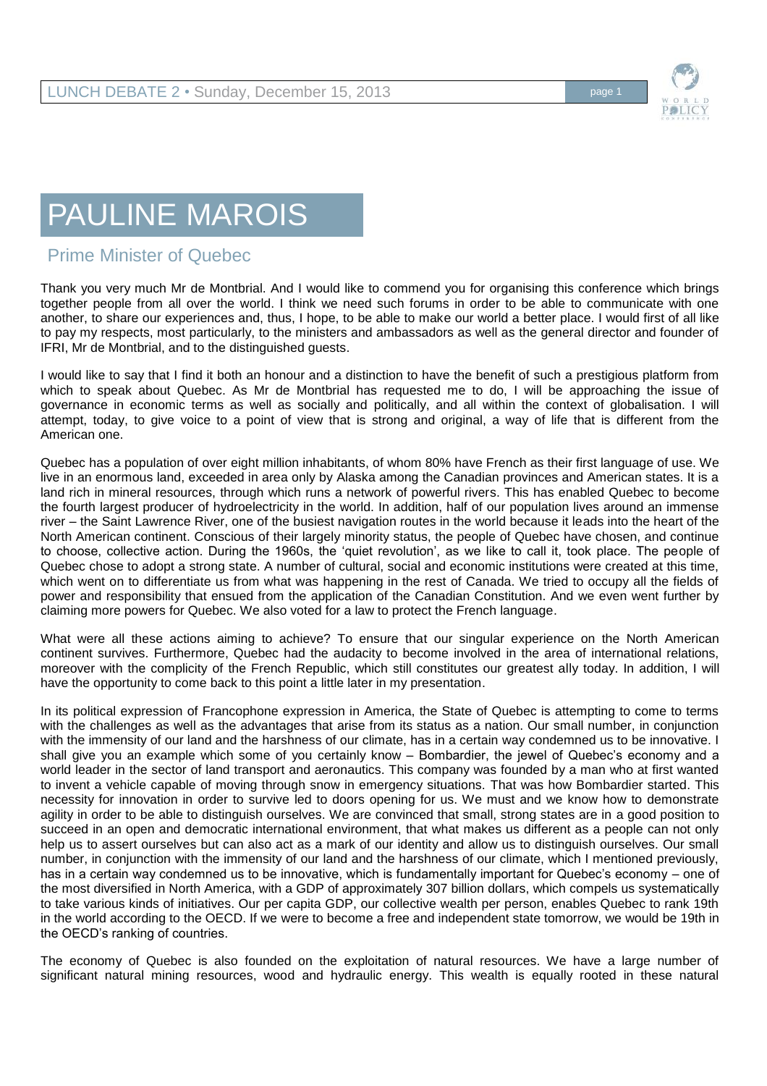## PAULINE MAROIS

## Prime Minister of Quebec

Thank you very much Mr de Montbrial. And I would like to commend you for organising this conference which brings together people from all over the world. I think we need such forums in order to be able to communicate with one another, to share our experiences and, thus, I hope, to be able to make our world a better place. I would first of all like to pay my respects, most particularly, to the ministers and ambassadors as well as the general director and founder of IFRI, Mr de Montbrial, and to the distinguished guests.

I would like to say that I find it both an honour and a distinction to have the benefit of such a prestigious platform from which to speak about Quebec. As Mr de Montbrial has requested me to do, I will be approaching the issue of governance in economic terms as well as socially and politically, and all within the context of globalisation. I will attempt, today, to give voice to a point of view that is strong and original, a way of life that is different from the American one.

Quebec has a population of over eight million inhabitants, of whom 80% have French as their first language of use. We live in an enormous land, exceeded in area only by Alaska among the Canadian provinces and American states. It is a land rich in mineral resources, through which runs a network of powerful rivers. This has enabled Quebec to become the fourth largest producer of hydroelectricity in the world. In addition, half of our population lives around an immense river – the Saint Lawrence River, one of the busiest navigation routes in the world because it leads into the heart of the North American continent. Conscious of their largely minority status, the people of Quebec have chosen, and continue to choose, collective action. During the 1960s, the 'quiet revolution', as we like to call it, took place. The people of Quebec chose to adopt a strong state. A number of cultural, social and economic institutions were created at this time, which went on to differentiate us from what was happening in the rest of Canada. We tried to occupy all the fields of power and responsibility that ensued from the application of the Canadian Constitution. And we even went further by claiming more powers for Quebec. We also voted for a law to protect the French language.

What were all these actions aiming to achieve? To ensure that our singular experience on the North American continent survives. Furthermore, Quebec had the audacity to become involved in the area of international relations, moreover with the complicity of the French Republic, which still constitutes our greatest ally today. In addition, I will have the opportunity to come back to this point a little later in my presentation.

In its political expression of Francophone expression in America, the State of Quebec is attempting to come to terms with the challenges as well as the advantages that arise from its status as a nation. Our small number, in conjunction with the immensity of our land and the harshness of our climate, has in a certain way condemned us to be innovative. I shall give you an example which some of you certainly know – Bombardier, the jewel of Quebec's economy and a world leader in the sector of land transport and aeronautics. This company was founded by a man who at first wanted to invent a vehicle capable of moving through snow in emergency situations. That was how Bombardier started. This necessity for innovation in order to survive led to doors opening for us. We must and we know how to demonstrate agility in order to be able to distinguish ourselves. We are convinced that small, strong states are in a good position to succeed in an open and democratic international environment, that what makes us different as a people can not only help us to assert ourselves but can also act as a mark of our identity and allow us to distinguish ourselves. Our small number, in conjunction with the immensity of our land and the harshness of our climate, which I mentioned previously, has in a certain way condemned us to be innovative, which is fundamentally important for Quebec's economy – one of the most diversified in North America, with a GDP of approximately 307 billion dollars, which compels us systematically to take various kinds of initiatives. Our per capita GDP, our collective wealth per person, enables Quebec to rank 19th in the world according to the OECD. If we were to become a free and independent state tomorrow, we would be 19th in the OECD's ranking of countries.

The economy of Quebec is also founded on the exploitation of natural resources. We have a large number of significant natural mining resources, wood and hydraulic energy. This wealth is equally rooted in these natural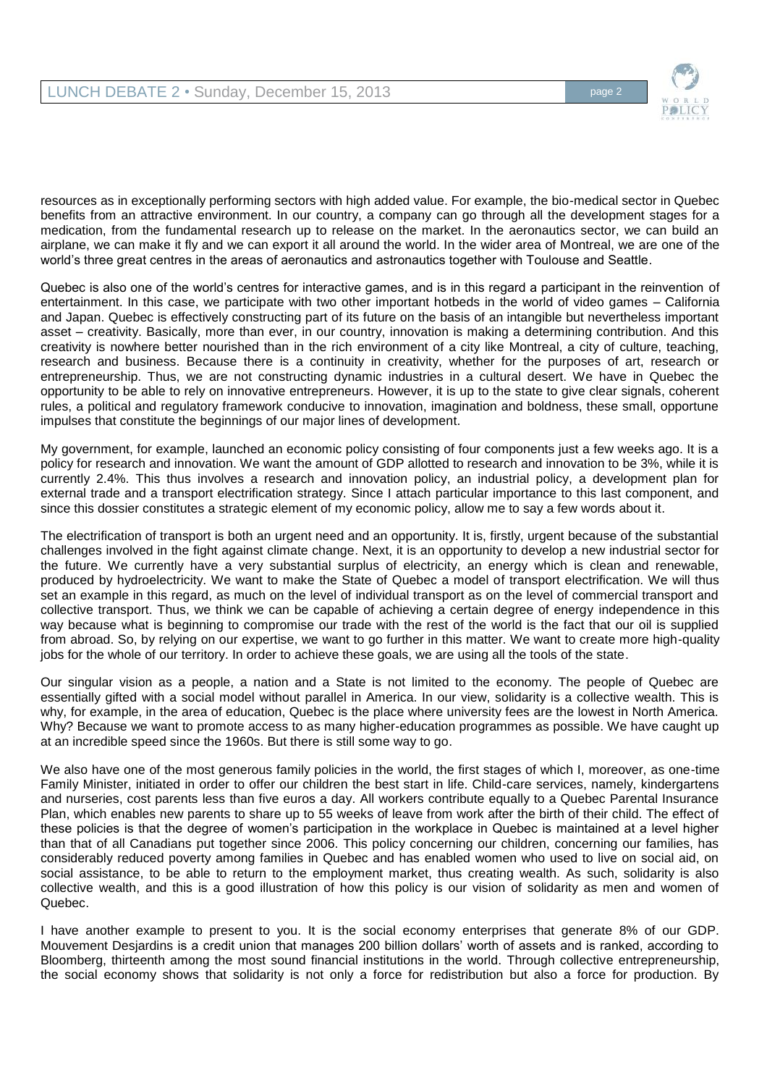

resources as in exceptionally performing sectors with high added value. For example, the bio-medical sector in Quebec benefits from an attractive environment. In our country, a company can go through all the development stages for a medication, from the fundamental research up to release on the market. In the aeronautics sector, we can build an airplane, we can make it fly and we can export it all around the world. In the wider area of Montreal, we are one of the world's three great centres in the areas of aeronautics and astronautics together with Toulouse and Seattle.

Quebec is also one of the world's centres for interactive games, and is in this regard a participant in the reinvention of entertainment. In this case, we participate with two other important hotbeds in the world of video games – California and Japan. Quebec is effectively constructing part of its future on the basis of an intangible but nevertheless important asset – creativity. Basically, more than ever, in our country, innovation is making a determining contribution. And this creativity is nowhere better nourished than in the rich environment of a city like Montreal, a city of culture, teaching, research and business. Because there is a continuity in creativity, whether for the purposes of art, research or entrepreneurship. Thus, we are not constructing dynamic industries in a cultural desert. We have in Quebec the opportunity to be able to rely on innovative entrepreneurs. However, it is up to the state to give clear signals, coherent rules, a political and regulatory framework conducive to innovation, imagination and boldness, these small, opportune impulses that constitute the beginnings of our major lines of development.

My government, for example, launched an economic policy consisting of four components just a few weeks ago. It is a policy for research and innovation. We want the amount of GDP allotted to research and innovation to be 3%, while it is currently 2.4%. This thus involves a research and innovation policy, an industrial policy, a development plan for external trade and a transport electrification strategy. Since I attach particular importance to this last component, and since this dossier constitutes a strategic element of my economic policy, allow me to say a few words about it.

The electrification of transport is both an urgent need and an opportunity. It is, firstly, urgent because of the substantial challenges involved in the fight against climate change. Next, it is an opportunity to develop a new industrial sector for the future. We currently have a very substantial surplus of electricity, an energy which is clean and renewable, produced by hydroelectricity. We want to make the State of Quebec a model of transport electrification. We will thus set an example in this regard, as much on the level of individual transport as on the level of commercial transport and collective transport. Thus, we think we can be capable of achieving a certain degree of energy independence in this way because what is beginning to compromise our trade with the rest of the world is the fact that our oil is supplied from abroad. So, by relying on our expertise, we want to go further in this matter. We want to create more high-quality jobs for the whole of our territory. In order to achieve these goals, we are using all the tools of the state.

Our singular vision as a people, a nation and a State is not limited to the economy. The people of Quebec are essentially gifted with a social model without parallel in America. In our view, solidarity is a collective wealth. This is why, for example, in the area of education, Quebec is the place where university fees are the lowest in North America. Why? Because we want to promote access to as many higher-education programmes as possible. We have caught up at an incredible speed since the 1960s. But there is still some way to go.

We also have one of the most generous family policies in the world, the first stages of which I, moreover, as one-time Family Minister, initiated in order to offer our children the best start in life. Child-care services, namely, kindergartens and nurseries, cost parents less than five euros a day. All workers contribute equally to a Quebec Parental Insurance Plan, which enables new parents to share up to 55 weeks of leave from work after the birth of their child. The effect of these policies is that the degree of women's participation in the workplace in Quebec is maintained at a level higher than that of all Canadians put together since 2006. This policy concerning our children, concerning our families, has considerably reduced poverty among families in Quebec and has enabled women who used to live on social aid, on social assistance, to be able to return to the employment market, thus creating wealth. As such, solidarity is also collective wealth, and this is a good illustration of how this policy is our vision of solidarity as men and women of Quebec.

I have another example to present to you. It is the social economy enterprises that generate 8% of our GDP. Mouvement Desjardins is a credit union that manages 200 billion dollars' worth of assets and is ranked, according to Bloomberg, thirteenth among the most sound financial institutions in the world. Through collective entrepreneurship, the social economy shows that solidarity is not only a force for redistribution but also a force for production. By